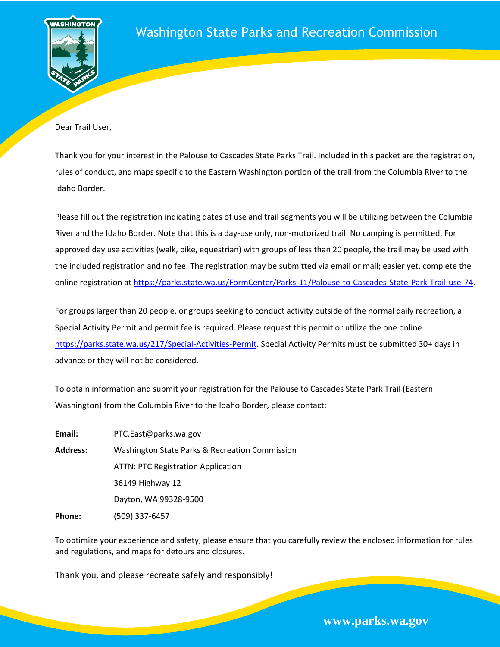

Dear Trail User,

Thank you for your interest in the Palouse to Cascades State Parks Trail. Included in this packet are the registration, rules of conduct, and maps specific to the Eastern Washington portion of the trail from the Columbia River to the Idaho Border.

Please fill out the registration indicating dates of use and trail segments you will be utilizing between the Columbia River and the Idaho Border. Note that this is a day-use only, non-motorized trail. No camping is permitted. For approved day use activities (walk, bike, equestrian) with groups of less than 20 people, the trail may be used with the included registration and no fee. The registration may be submitted via email or mail; easier yet, complete the online registration a[t https://parks.state.wa.us/FormCenter/Parks-11/Palouse-to-Cascades-State-Park-Trail-use-74.](https://parks.state.wa.us/FormCenter/Parks-11/Palouse-to-Cascades-State-Park-Trail-use-74)

For groups larger than 20 people, or groups seeking to conduct activity outside of the normal daily recreation, a Special Activity Permit and permit fee is required. Please request this permit or utilize the one online [https://parks.state.wa.us/217/Special-Activities-Permit.](https://parks.state.wa.us/217/Special-Activities-Permit) Special Activity Permits must be submitted 30+ days in advance or they will not be considered.

To obtain information and submit your registration for the Palouse to Cascades State Park Trail (Eastern Washington) from the Columbia River to the Idaho Border, please contact:

**Email:** PTC.East@parks.wa.gov **Address:** Washington State Parks & Recreation Commission ATTN: PTC Registration Application 36149 Highway 12 Dayton, WA 99328-9500 **Phone:** (509) 337-6457

To optimize your experience and safety, please ensure that you carefully review the enclosed information for rules and regulations, and maps for detours and closures.

Thank you, and please recreate safely and responsibly!

**www.parks.wa.gov**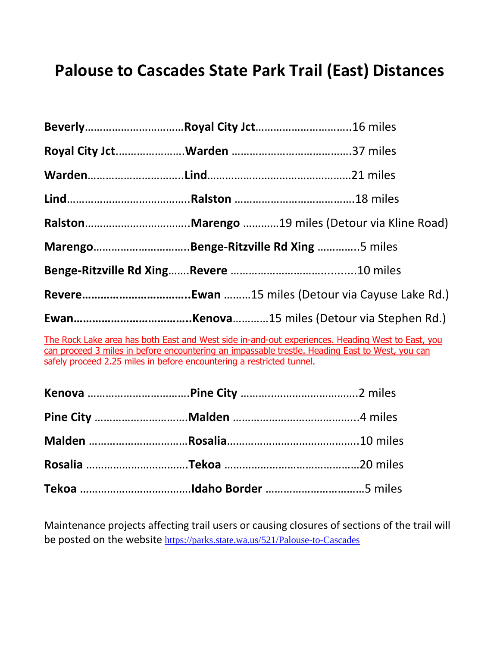## **Palouse to Cascades State Park Trail (East) Distances**

| MarengoBenge-Ritzville Rd Xing 5 miles                                                                                                                                                                                                                                       |
|------------------------------------------------------------------------------------------------------------------------------------------------------------------------------------------------------------------------------------------------------------------------------|
|                                                                                                                                                                                                                                                                              |
|                                                                                                                                                                                                                                                                              |
|                                                                                                                                                                                                                                                                              |
| The Rock Lake area has both East and West side in-and-out experiences. Heading West to East, you<br>can proceed 3 miles in before encountering an impassable trestle. Heading East to West, you can<br>safely proceed 2.25 miles in before encountering a restricted tunnel. |
|                                                                                                                                                                                                                                                                              |
|                                                                                                                                                                                                                                                                              |
|                                                                                                                                                                                                                                                                              |
|                                                                                                                                                                                                                                                                              |
|                                                                                                                                                                                                                                                                              |

Maintenance projects affecting trail users or causing closures of sections of the trail will be posted on the website <https://parks.state.wa.us/521/Palouse-to-Cascades>